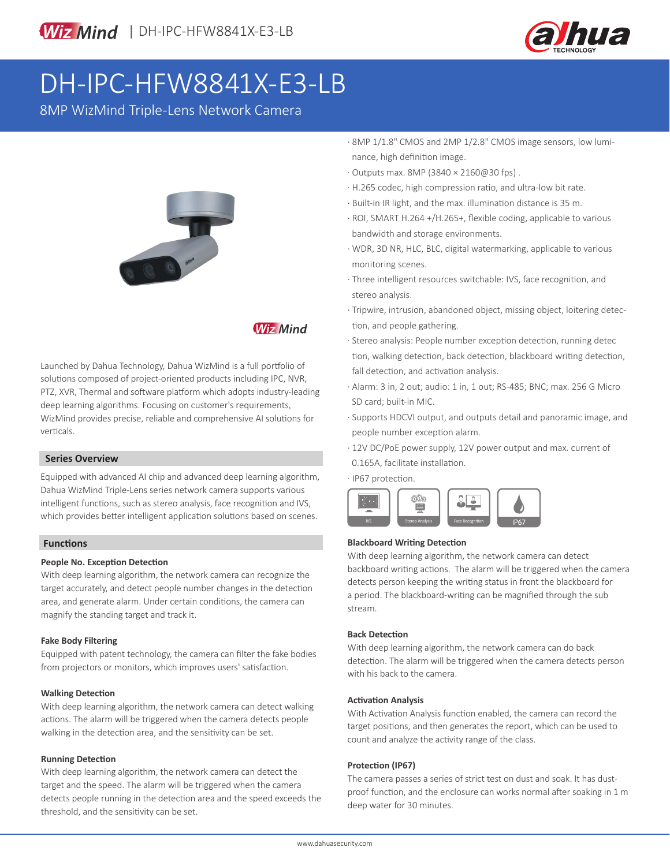

# DH-IPC-HFW8841X-E3-LB

8MP WizMind Triple-Lens Network Camera



# **Wiz Mind**

Launched by Dahua Technology, Dahua WizMind is a full portfolio of solutions composed of project-oriented products including IPC, NVR, PTZ, XVR, Thermal and software platform which adopts industry-leading deep learning algorithms. Focusing on customer's requirements, WizMind provides precise, reliable and comprehensive AI solutions for verticals.

#### **Series Overview**

Equipped with advanced AI chip and advanced deep learning algorithm, Dahua WizMind Triple-Lens series network camera supports various intelligent functions, such as stereo analysis, face recognition and IVS, which provides better intelligent application solutions based on scenes.

#### **Functions**

#### **People No. Exception Detection**

With deep learning algorithm, the network camera can recognize the target accurately, and detect people number changes in the detection area, and generate alarm. Under certain conditions, the camera can magnify the standing target and track it.

#### **Fake Body Filtering**

Equipped with patent technology, the camera can filter the fake bodies from projectors or monitors, which improves users' satisfaction.

#### **Walking Detection**

With deep learning algorithm, the network camera can detect walking actions. The alarm will be triggered when the camera detects people walking in the detection area, and the sensitivity can be set.

#### **Running Detection**

With deep learning algorithm, the network camera can detect the target and the speed. The alarm will be triggered when the camera detects people running in the detection area and the speed exceeds the threshold, and the sensitivity can be set.

- · 8MP 1/1.8" CMOS and 2MP 1/2.8" CMOS image sensors, low lumi nance, high definition image.
- · Outputs max. 8MP (3840 × 2160@30 fps) .
- · H.265 codec, high compression ratio, and ultra-low bit rate.
- · Built-in IR light, and the max. illumination distance is 35 m.
- · ROI, SMART H.264 +/H.265+, flexible coding, applicable to various bandwidth and storage environments.
- · WDR, 3D NR, HLC, BLC, digital watermarking, applicable to various monitoring scenes.
- · Three intelligent resources switchable: IVS, face recognition, and stereo analysis.
- · Tripwire, intrusion, abandoned object, missing object, loitering detec tion, and people gathering.
- · Stereo analysis: People number exception detection, running detec tion, walking detection, back detection, blackboard writing detection, fall detection, and activation analysis.
- · Alarm: 3 in, 2 out; audio: 1 in, 1 out; RS-485; BNC; max. 256 G Micro SD card; built-in MIC.
- · Supports HDCVI output, and outputs detail and panoramic image, and people number exception alarm.
- · 12V DC/PoE power supply, 12V power output and max. current of 0.165A, facilitate installation.

· IP67 protection.



#### **Blackboard Writing Detection**

With deep learning algorithm, the network camera can detect backboard writing actions. The alarm will be triggered when the camera detects person keeping the writing status in front the blackboard for a period. The blackboard-writing can be magnified through the sub stream.

#### **Back Detection**

With deep learning algorithm, the network camera can do back detection. The alarm will be triggered when the camera detects person with his back to the camera.

#### **Activation Analysis**

With Activation Analysis function enabled, the camera can record the target positions, and then generates the report, which can be used to count and analyze the activity range of the class.

#### **Protection (IP67)**

The camera passes a series of strict test on dust and soak. It has dustproof function, and the enclosure can works normal after soaking in 1 m deep water for 30 minutes.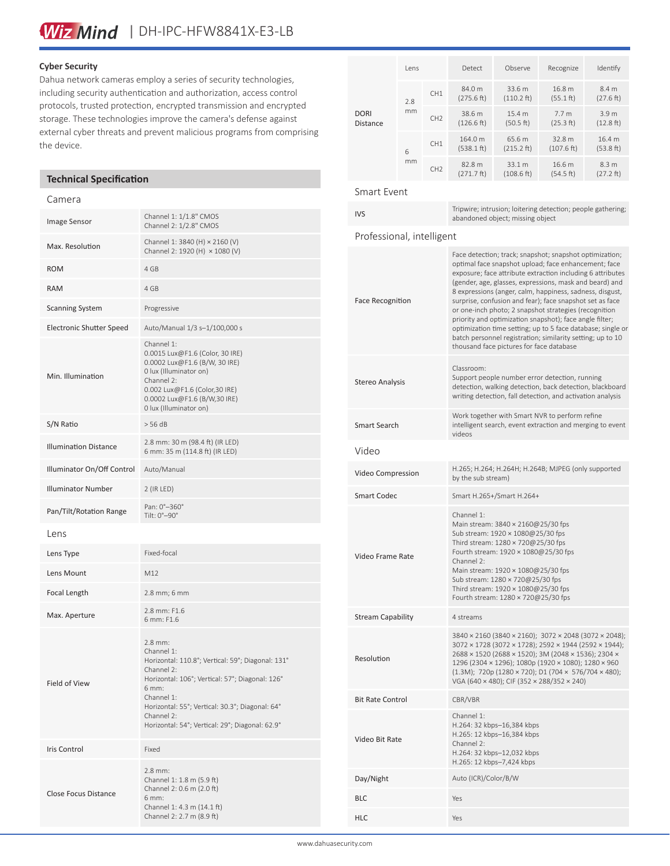#### **Cyber Security**

Dahua network cameras employ a series of security technologies, including security authentication and authorization, access control protocols, trusted protection, encrypted transmission and encrypted storage. These technologies improve the camera's defense against external cyber threats and prevent malicious programs from comprising the device.

#### **Technical Specification**

#### Camera

| Image Sensor                    | Channel 1: 1/1.8" CMOS<br>Channel 2: 1/2.8" CMOS                                                                                                                                                                                                                                         |
|---------------------------------|------------------------------------------------------------------------------------------------------------------------------------------------------------------------------------------------------------------------------------------------------------------------------------------|
| Max. Resolution                 | Channel 1: 3840 (H) × 2160 (V)<br>Channel 2: 1920 (H) × 1080 (V)                                                                                                                                                                                                                         |
| <b>ROM</b>                      | 4 GB                                                                                                                                                                                                                                                                                     |
| <b>RAM</b>                      | 4 GB                                                                                                                                                                                                                                                                                     |
| <b>Scanning System</b>          | Progressive                                                                                                                                                                                                                                                                              |
| <b>Electronic Shutter Speed</b> | Auto/Manual 1/3 s-1/100,000 s                                                                                                                                                                                                                                                            |
| Min. Illumination               | Channel 1:<br>0.0015 Lux@F1.6 (Color, 30 IRE)<br>0.0002 Lux@F1.6 (B/W, 30 IRE)<br>0 lux (Illuminator on)<br>Channel 2:<br>0.002 Lux@F1.6 (Color,30 IRE)<br>0.0002 Lux@F1.6 (B/W,30 IRE)<br>0 lux (Illuminator on)                                                                        |
| S/N Ratio                       | > 56 dB                                                                                                                                                                                                                                                                                  |
| <b>Illumination Distance</b>    | 2.8 mm: 30 m (98.4 ft) (IR LED)<br>6 mm: 35 m (114.8 ft) (IR LED)                                                                                                                                                                                                                        |
| Illuminator On/Off Control      | Auto/Manual                                                                                                                                                                                                                                                                              |
| <b>Illuminator Number</b>       | $2$ (IR LED)                                                                                                                                                                                                                                                                             |
| Pan/Tilt/Rotation Range         | Pan: 0°-360°<br>Tilt: 0°-90°                                                                                                                                                                                                                                                             |
| Lens                            |                                                                                                                                                                                                                                                                                          |
| Lens Type                       | Fixed-focal                                                                                                                                                                                                                                                                              |
| Lens Mount                      | M12                                                                                                                                                                                                                                                                                      |
| Focal Length                    | 2.8 mm; 6 mm                                                                                                                                                                                                                                                                             |
| Max. Aperture                   | 2.8 mm: F1.6<br>6 mm: F1.6                                                                                                                                                                                                                                                               |
| Field of View                   | $2.8$ mm:<br>Channel 1:<br>Horizontal: 110.8°; Vertical: 59°; Diagonal: 131°<br>Channel 2:<br>Horizontal: 106°; Vertical: 57°; Diagonal: 126°<br>6 mm:<br>Channel 1:<br>Horizontal: 55°; Vertical: 30.3°; Diagonal: 64°<br>Channel 2:<br>Horizontal: 54°; Vertical: 29°; Diagonal: 62.9° |
| Iris Control                    | Fixed                                                                                                                                                                                                                                                                                    |
| Close Focus Distance            | $2.8$ mm:<br>Channel 1: 1.8 m (5.9 ft)<br>Channel 2: 0.6 m (2.0 ft)<br>6 mm:<br>Channel 1: 4.3 m (14.1 ft)<br>Channel 2: 2.7 m (8.9 ft)                                                                                                                                                  |

| <b>DORI</b><br><b>Distance</b> | lens                  |                                | Detect                | Observe              | Recognize                     | Identify                      |
|--------------------------------|-----------------------|--------------------------------|-----------------------|----------------------|-------------------------------|-------------------------------|
|                                | 7.8                   | CH <sub>1</sub>                | 84.0 m<br>(275.6 ft)  | 33.6 m<br>(110.2 ft) | 16.8 m<br>(55.1 ft)           | 8.4 m<br>(27.6 ft)            |
|                                | mm                    | CH <sub>2</sub>                | 38.6 m<br>(126.6 ft)  | 15.4 m<br>(50.5 ft)  | 7.7 <sub>m</sub><br>(25.3 ft) | 3.9 <sub>m</sub><br>(12.8 ft) |
|                                | 6                     | CH <sub>1</sub>                | 164.0 m<br>(538.1 ft) | 65.6 m<br>(215.2 ft) | 32.8 m<br>(107.6 ft)          | 16.4 m<br>(53.8 ft)           |
|                                | mm<br>CH <sub>2</sub> | 82.8 m<br>$(271.7 \text{ ft})$ | 33.1 m<br>(108.6 ft)  | 16.6 m<br>(54.5 ft)  | 8.3 <sub>m</sub><br>(27.2 ft) |                               |

#### Smart Event

IVS Tripwire; intrusion; loitering detection; people gathering; abandoned object; missing object

#### Professional, intelligent

| <b>Face Recognition</b>  | Face detection; track; snapshot; snapshot optimization;<br>optimal face snapshot upload; face enhancement; face<br>exposure; face attribute extraction including 6 attributes<br>(gender, age, glasses, expressions, mask and beard) and<br>8 expressions (anger, calm, happiness, sadness, disgust,<br>surprise, confusion and fear); face snapshot set as face<br>or one-inch photo; 2 snapshot strategies (recognition<br>priority and optimization snapshot); face angle filter;<br>optimization time setting; up to 5 face database; single or<br>batch personnel registration; similarity setting; up to 10<br>thousand face pictures for face database |
|--------------------------|---------------------------------------------------------------------------------------------------------------------------------------------------------------------------------------------------------------------------------------------------------------------------------------------------------------------------------------------------------------------------------------------------------------------------------------------------------------------------------------------------------------------------------------------------------------------------------------------------------------------------------------------------------------|
| Stereo Analysis          | Classroom:<br>Support people number error detection, running<br>detection, walking detection, back detection, blackboard<br>writing detection, fall detection, and activation analysis                                                                                                                                                                                                                                                                                                                                                                                                                                                                        |
| <b>Smart Search</b>      | Work together with Smart NVR to perform refine<br>intelligent search, event extraction and merging to event<br>videos                                                                                                                                                                                                                                                                                                                                                                                                                                                                                                                                         |
| Video                    |                                                                                                                                                                                                                                                                                                                                                                                                                                                                                                                                                                                                                                                               |
| Video Compression        | H.265; H.264; H.264H; H.264B; MJPEG (only supported<br>by the sub stream)                                                                                                                                                                                                                                                                                                                                                                                                                                                                                                                                                                                     |
| <b>Smart Codec</b>       | Smart H.265+/Smart H.264+                                                                                                                                                                                                                                                                                                                                                                                                                                                                                                                                                                                                                                     |
| Video Frame Rate         | Channel 1:<br>Main stream: 3840 × 2160@25/30 fps<br>Sub stream: 1920 × 1080@25/30 fps<br>Third stream: 1280 × 720@25/30 fps<br>Fourth stream: 1920 × 1080@25/30 fps<br>Channel 2:<br>Main stream: 1920 × 1080@25/30 fps<br>Sub stream: 1280 × 720@25/30 fps<br>Third stream: 1920 × 1080@25/30 fps<br>Fourth stream: 1280 × 720@25/30 fps                                                                                                                                                                                                                                                                                                                     |
| <b>Stream Capability</b> | 4 streams                                                                                                                                                                                                                                                                                                                                                                                                                                                                                                                                                                                                                                                     |
| Resolution               | 3840 × 2160 (3840 × 2160); 3072 × 2048 (3072 × 2048);<br>3072 × 1728 (3072 × 1728); 2592 × 1944 (2592 × 1944);<br>2688 × 1520 (2688 × 1520); 3M (2048 × 1536); 2304 ×<br>1296 (2304 × 1296); 1080p (1920 × 1080); 1280 × 960<br>(1.3M); 720p (1280 × 720); D1 (704 × 576/704 × 480);<br>VGA (640 × 480); CIF (352 × 288/352 × 240)                                                                                                                                                                                                                                                                                                                            |
| <b>Bit Rate Control</b>  | CBR/VBR                                                                                                                                                                                                                                                                                                                                                                                                                                                                                                                                                                                                                                                       |
| Video Bit Rate           | Channel 1:<br>H.264: 32 kbps-16,384 kbps<br>H.265: 12 kbps-16,384 kbps<br>Channel 2:<br>H.264: 32 kbps-12,032 kbps<br>H.265: 12 kbps-7,424 kbps                                                                                                                                                                                                                                                                                                                                                                                                                                                                                                               |
| Day/Night                | Auto (ICR)/Color/B/W                                                                                                                                                                                                                                                                                                                                                                                                                                                                                                                                                                                                                                          |
| <b>BLC</b>               | Yes                                                                                                                                                                                                                                                                                                                                                                                                                                                                                                                                                                                                                                                           |
| <b>HLC</b>               | Yes                                                                                                                                                                                                                                                                                                                                                                                                                                                                                                                                                                                                                                                           |
|                          |                                                                                                                                                                                                                                                                                                                                                                                                                                                                                                                                                                                                                                                               |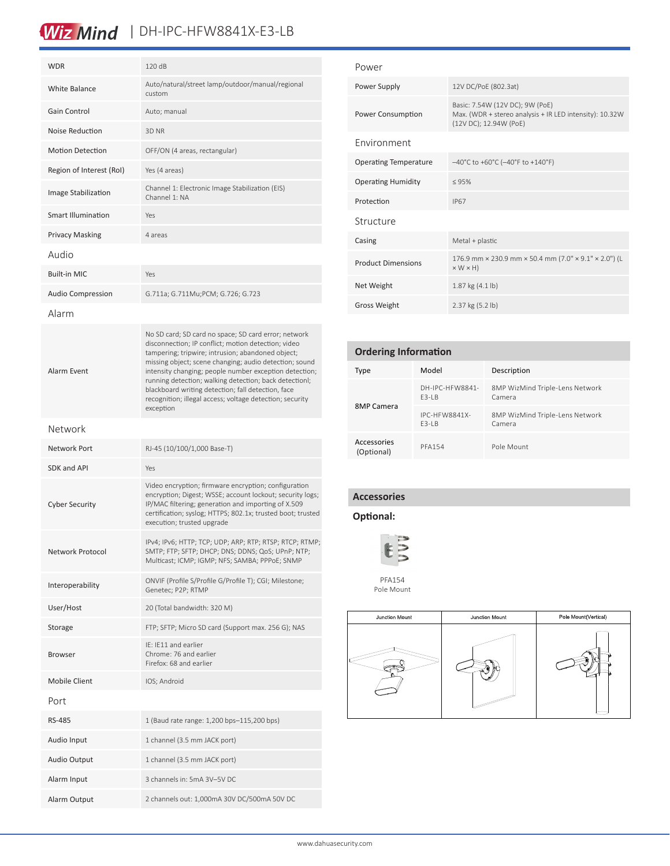# Wiz Mind | DH-IPC-HFW8841X-E3-LB

| <b>WDR</b>                | 120 dB                                                                                                                                                                                                                                                                                                                                                                                                                                                                        |  |
|---------------------------|-------------------------------------------------------------------------------------------------------------------------------------------------------------------------------------------------------------------------------------------------------------------------------------------------------------------------------------------------------------------------------------------------------------------------------------------------------------------------------|--|
| White Balance             | Auto/natural/street lamp/outdoor/manual/regional<br>custom                                                                                                                                                                                                                                                                                                                                                                                                                    |  |
| Gain Control              | Auto; manual                                                                                                                                                                                                                                                                                                                                                                                                                                                                  |  |
| Noise Reduction           | 3D NR                                                                                                                                                                                                                                                                                                                                                                                                                                                                         |  |
| <b>Motion Detection</b>   | OFF/ON (4 areas, rectangular)                                                                                                                                                                                                                                                                                                                                                                                                                                                 |  |
| Region of Interest (RoI)  | Yes (4 areas)                                                                                                                                                                                                                                                                                                                                                                                                                                                                 |  |
| Image Stabilization       | Channel 1: Electronic Image Stabilization (EIS)<br>Channel 1: NA                                                                                                                                                                                                                                                                                                                                                                                                              |  |
| <b>Smart Illumination</b> | Yes                                                                                                                                                                                                                                                                                                                                                                                                                                                                           |  |
| <b>Privacy Masking</b>    | 4 areas                                                                                                                                                                                                                                                                                                                                                                                                                                                                       |  |
| Audio                     |                                                                                                                                                                                                                                                                                                                                                                                                                                                                               |  |
| <b>Built-in MIC</b>       | Yes                                                                                                                                                                                                                                                                                                                                                                                                                                                                           |  |
| <b>Audio Compression</b>  | G.711a; G.711Mu;PCM; G.726; G.723                                                                                                                                                                                                                                                                                                                                                                                                                                             |  |
| Alarm                     |                                                                                                                                                                                                                                                                                                                                                                                                                                                                               |  |
| <b>Alarm Event</b>        | No SD card; SD card no space; SD card error; network<br>disconnection; IP conflict; motion detection; video<br>tampering; tripwire; intrusion; abandoned object;<br>missing object; scene changing; audio detection; sound<br>intensity changing; people number exception detection;<br>running detection; walking detection; back detectionl;<br>blackboard writing detection; fall detection, face<br>recognition; illegal access; voltage detection; security<br>exception |  |
| Network                   |                                                                                                                                                                                                                                                                                                                                                                                                                                                                               |  |
| Network Port              | RJ-45 (10/100/1,000 Base-T)                                                                                                                                                                                                                                                                                                                                                                                                                                                   |  |
| <b>SDK and API</b>        | Yes                                                                                                                                                                                                                                                                                                                                                                                                                                                                           |  |
| <b>Cyber Security</b>     | Video encryption; firmware encryption; configuration<br>encryption; Digest; WSSE; account lockout; security logs;<br>IP/MAC filtering; generation and importing of X.509<br>certification; syslog; HTTPS; 802.1x; trusted boot; trusted<br>execution; trusted upgrade                                                                                                                                                                                                         |  |
| Network Protocol          | IPv4; IPv6; HTTP; TCP; UDP; ARP; RTP; RTSP; RTCP; RTMP;<br>SMTP; FTP; SFTP; DHCP; DNS; DDNS; QoS; UPnP; NTP;<br>Multicast; ICMP; IGMP; NFS; SAMBA; PPPoE; SNMP                                                                                                                                                                                                                                                                                                                |  |
| Interoperability          | ONVIF (Profile S/Profile G/Profile T); CGI; Milestone;<br>Genetec; P2P; RTMP                                                                                                                                                                                                                                                                                                                                                                                                  |  |
| User/Host                 | 20 (Total bandwidth: 320 M)                                                                                                                                                                                                                                                                                                                                                                                                                                                   |  |
| Storage                   | FTP; SFTP; Micro SD card (Support max. 256 G); NAS                                                                                                                                                                                                                                                                                                                                                                                                                            |  |
| <b>Browser</b>            | IE: IE11 and earlier<br>Chrome: 76 and earlier<br>Firefox: 68 and earlier                                                                                                                                                                                                                                                                                                                                                                                                     |  |
| <b>Mobile Client</b>      | IOS; Android                                                                                                                                                                                                                                                                                                                                                                                                                                                                  |  |
| Port                      |                                                                                                                                                                                                                                                                                                                                                                                                                                                                               |  |
| RS-485                    | 1 (Baud rate range: 1,200 bps-115,200 bps)                                                                                                                                                                                                                                                                                                                                                                                                                                    |  |
| Audio Input               | 1 channel (3.5 mm JACK port)                                                                                                                                                                                                                                                                                                                                                                                                                                                  |  |
| <b>Audio Output</b>       | 1 channel (3.5 mm JACK port)                                                                                                                                                                                                                                                                                                                                                                                                                                                  |  |
| Alarm Input               | 3 channels in: 5mA 3V-5V DC                                                                                                                                                                                                                                                                                                                                                                                                                                                   |  |
| Alarm Output              | 2 channels out: 1,000mA 30V DC/500mA 50V DC                                                                                                                                                                                                                                                                                                                                                                                                                                   |  |

| Power                        |                                                                                                                      |  |
|------------------------------|----------------------------------------------------------------------------------------------------------------------|--|
| Power Supply                 | 12V DC/PoE (802.3at)                                                                                                 |  |
| Power Consumption            | Basic: 7.54W (12V DC); 9W (PoE)<br>Max. (WDR + stereo analysis + IR LED intensity): 10.32W<br>(12V DC); 12.94W (PoE) |  |
| Environment                  |                                                                                                                      |  |
| <b>Operating Temperature</b> | $-40^{\circ}$ C to +60 $^{\circ}$ C (-40 $^{\circ}$ F to +140 $^{\circ}$ F)                                          |  |
| <b>Operating Humidity</b>    | $\leq 95\%$                                                                                                          |  |
| Protection                   | <b>IP67</b>                                                                                                          |  |
| Structure                    |                                                                                                                      |  |
| Casing                       | Metal + plastic                                                                                                      |  |
| <b>Product Dimensions</b>    | 176.9 mm × 230.9 mm × 50.4 mm (7.0" × 9.1" × 2.0") (L<br>$\times$ W $\times$ H)                                      |  |
| Net Weight                   | 1.87 kg (4.1 lb)                                                                                                     |  |
| <b>Gross Weight</b>          | 2.37 kg (5.2 lb)                                                                                                     |  |

| <b>Ordering Information</b> |                                 |                                           |  |  |
|-----------------------------|---------------------------------|-------------------------------------------|--|--|
| Type                        | Model                           | Description                               |  |  |
| <b>8MP Camera</b>           | DH-IPC-HFW8841-<br>$F3-IB$      | 8MP WizMind Triple-Lens Network<br>Camera |  |  |
|                             | <b>IPC-HFW8841X-</b><br>$F3-IB$ | 8MP WizMind Triple-Lens Network<br>Camera |  |  |
| Accessories<br>(Optional)   | <b>PFA154</b>                   | Pole Mount                                |  |  |

# **Accessories**

### **Optional:**



PFA154 Pole Mount